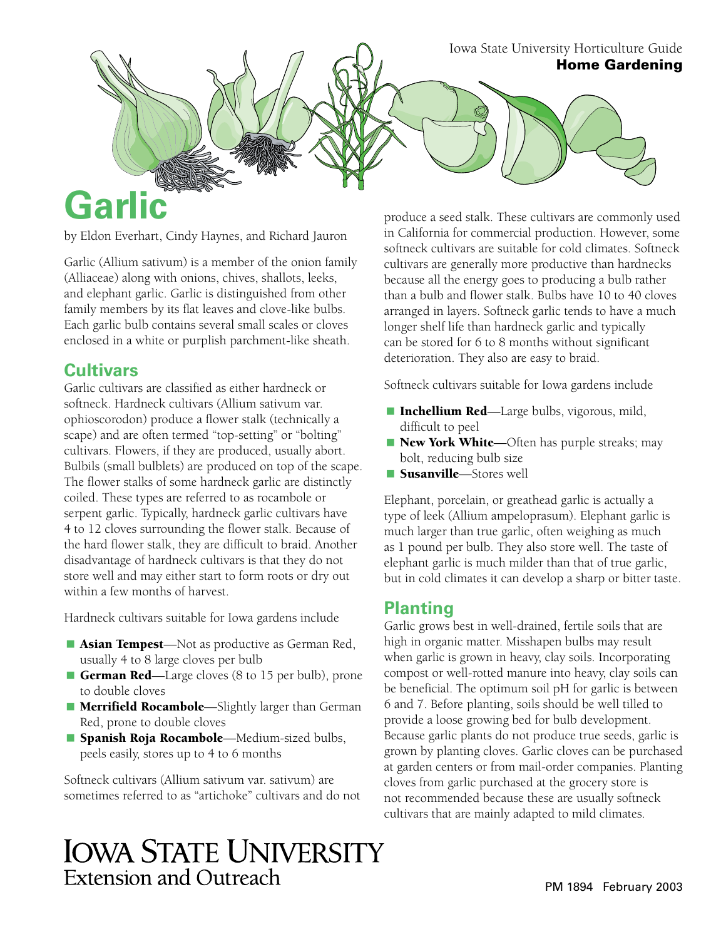Iowa State University Horticulture Guide Home Gardening

# **Garlic**

by Eldon Everhart, Cindy Haynes, and Richard Jauron

Garlic (Allium sativum) is a member of the onion family (Alliaceae) along with onions, chives, shallots, leeks, and elephant garlic. Garlic is distinguished from other family members by its flat leaves and clove-like bulbs. Each garlic bulb contains several small scales or cloves enclosed in a white or purplish parchment-like sheath.

# **Cultivars**

Garlic cultivars are classified as either hardneck or softneck. Hardneck cultivars (Allium sativum var. ophioscorodon) produce a flower stalk (technically a scape) and are often termed "top-setting" or "bolting" cultivars. Flowers, if they are produced, usually abort. Bulbils (small bulblets) are produced on top of the scape. The flower stalks of some hardneck garlic are distinctly coiled. These types are referred to as rocambole or serpent garlic. Typically, hardneck garlic cultivars have 4 to 12 cloves surrounding the flower stalk. Because of the hard flower stalk, they are difficult to braid. Another disadvantage of hardneck cultivars is that they do not store well and may either start to form roots or dry out within a few months of harvest.

Hardneck cultivars suitable for Iowa gardens include

- **Asian Tempest**—Not as productive as German Red, usually 4 to 8 large cloves per bulb
- German Red—Large cloves (8 to 15 per bulb), prone to double cloves
- Merrifield Rocambole—Slightly larger than German Red, prone to double cloves
- **Spanish Roja Rocambole**—Medium-sized bulbs, peels easily, stores up to 4 to 6 months

Softneck cultivars (Allium sativum var. sativum) are sometimes referred to as "artichoke" cultivars and do not

produce a seed stalk. These cultivars are commonly used in California for commercial production. However, some softneck cultivars are suitable for cold climates. Softneck cultivars are generally more productive than hardnecks because all the energy goes to producing a bulb rather than a bulb and flower stalk. Bulbs have 10 to 40 cloves arranged in layers. Softneck garlic tends to have a much longer shelf life than hardneck garlic and typically can be stored for 6 to 8 months without significant deterioration. They also are easy to braid.

Softneck cultivars suitable for Iowa gardens include

- Inchellium Red—Large bulbs, vigorous, mild, difficult to peel
- New York White—Often has purple streaks; may bolt, reducing bulb size
- Susanville—Stores well

Elephant, porcelain, or greathead garlic is actually a type of leek (Allium ampeloprasum). Elephant garlic is much larger than true garlic, often weighing as much as 1 pound per bulb. They also store well. The taste of elephant garlic is much milder than that of true garlic, but in cold climates it can develop a sharp or bitter taste.

# **Planting**

Garlic grows best in well-drained, fertile soils that are high in organic matter. Misshapen bulbs may result when garlic is grown in heavy, clay soils. Incorporating compost or well-rotted manure into heavy, clay soils can be beneficial. The optimum soil pH for garlic is between 6 and 7. Before planting, soils should be well tilled to provide a loose growing bed for bulb development. Because garlic plants do not produce true seeds, garlic is grown by planting cloves. Garlic cloves can be purchased at garden centers or from mail-order companies. Planting cloves from garlic purchased at the grocery store is not recommended because these are usually softneck cultivars that are mainly adapted to mild climates.

# **IOWA STATE UNIVERSITY** Extension and Outreach